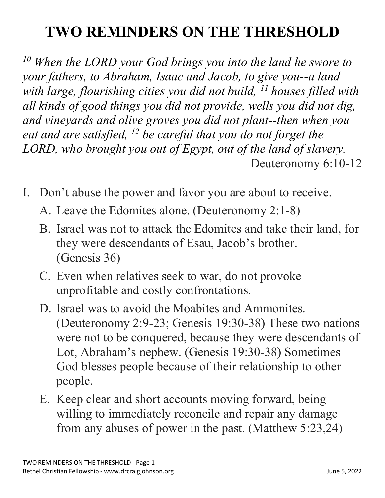## **TWO REMINDERS ON THE THRESHOLD**

*<sup>10</sup> When the LORD your God brings you into the land he swore to your fathers, to Abraham, Isaac and Jacob, to give you--a land with large, flourishing cities you did not build, 11 houses filled with all kinds of good things you did not provide, wells you did not dig, and vineyards and olive groves you did not plant--then when you eat and are satisfied, 12 be careful that you do not forget the LORD, who brought you out of Egypt, out of the land of slavery.* Deuteronomy 6:10-12

- I. Don't abuse the power and favor you are about to receive.
	- A. Leave the Edomites alone. (Deuteronomy 2:1-8)
	- B. Israel was not to attack the Edomites and take their land, for they were descendants of Esau, Jacob's brother. (Genesis 36)
	- C. Even when relatives seek to war, do not provoke unprofitable and costly confrontations.
	- D. Israel was to avoid the Moabites and Ammonites. (Deuteronomy 2:9-23; Genesis 19:30-38) These two nations were not to be conquered, because they were descendants of Lot, Abraham's nephew. (Genesis 19:30-38) Sometimes God blesses people because of their relationship to other people.
	- E. Keep clear and short accounts moving forward, being willing to immediately reconcile and repair any damage from any abuses of power in the past. (Matthew 5:23,24)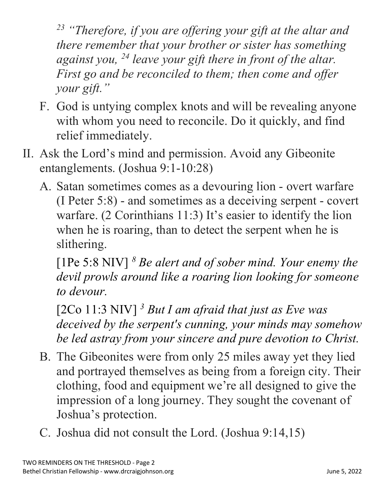*<sup>23</sup> "Therefore, if you are offering your gift at the altar and there remember that your brother or sister has something against you, 24 leave your gift there in front of the altar. First go and be reconciled to them; then come and offer your gift."*

- F. God is untying complex knots and will be revealing anyone with whom you need to reconcile. Do it quickly, and find relief immediately.
- II. Ask the Lord's mind and permission. Avoid any Gibeonite entanglements. (Joshua 9:1-10:28)
	- A. Satan sometimes comes as a devouring lion overt warfare (I Peter 5:8) - and sometimes as a deceiving serpent - covert warfare. (2 Corinthians 11:3) It's easier to identify the lion when he is roaring, than to detect the serpent when he is slithering.

[1Pe 5:8 NIV] *<sup>8</sup> Be alert and of sober mind. Your enemy the devil prowls around like a roaring lion looking for someone to devour.*

[2Co 11:3 NIV] *<sup>3</sup> But I am afraid that just as Eve was deceived by the serpent's cunning, your minds may somehow be led astray from your sincere and pure devotion to Christ.*

- B. The Gibeonites were from only 25 miles away yet they lied and portrayed themselves as being from a foreign city. Their clothing, food and equipment we're all designed to give the impression of a long journey. They sought the covenant of Joshua's protection.
- C. Joshua did not consult the Lord. (Joshua 9:14,15)